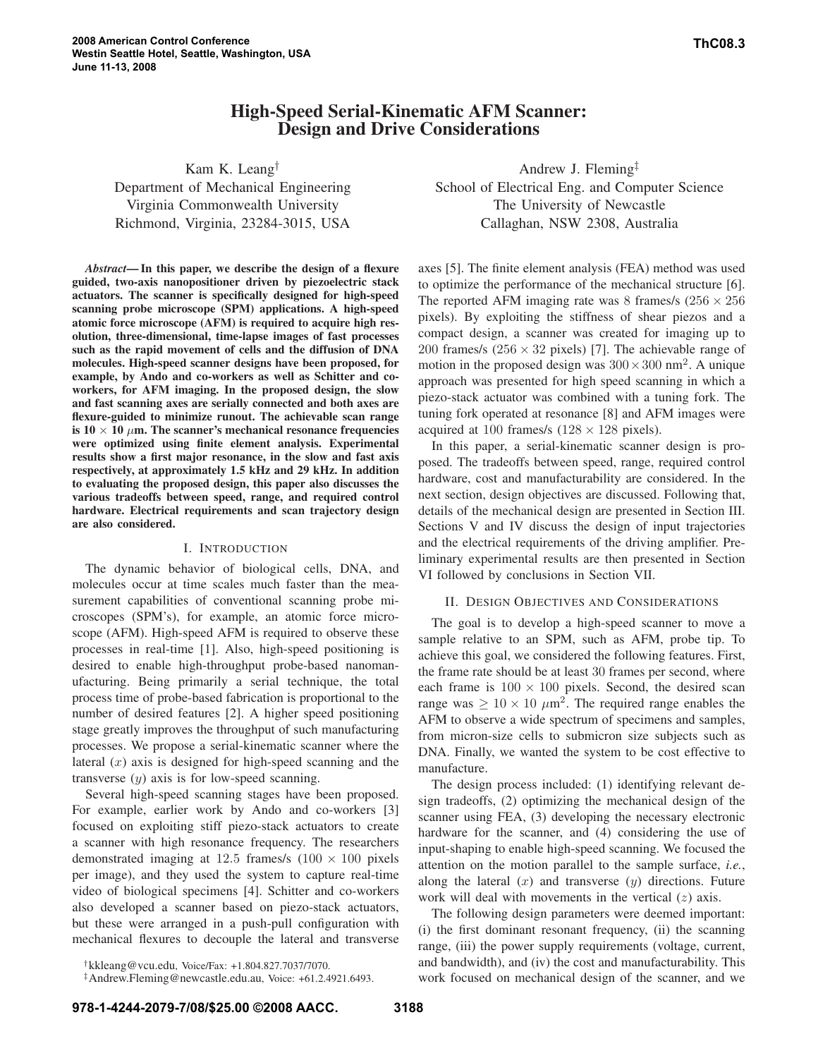# **High-Speed Serial-Kinematic AFM Scanner: Design and Drive Considerations**

Kam K. Leang† Department of Mechanical Engineering Virginia Commonwealth University Richmond, Virginia, 23284-3015, USA

*Abstract***—In this paper, we describe the design of a flexure guided, two-axis nanopositioner driven by piezoelectric stack actuators. The scanner is specifically designed for high-speed scanning probe microscope (SPM) applications. A high-speed atomic force microscope (AFM) is required to acquire high resolution, three-dimensional, time-lapse images of fast processes such as the rapid movement of cells and the diffusion of DNA molecules. High-speed scanner designs have been proposed, for example, by Ando and co-workers as well as Schitter and coworkers, for AFM imaging. In the proposed design, the slow and fast scanning axes are serially connected and both axes are flexure-guided to minimize runout. The achievable scan range is**  $10 \times 10 \mu$ m. The scanner's mechanical resonance frequencies **were optimized using finite element analysis. Experimental results show a first major resonance, in the slow and fast axis respectively, at approximately 1.5 kHz and 29 kHz. In addition to evaluating the proposed design, this paper also discusses the various tradeoffs between speed, range, and required control hardware. Electrical requirements and scan trajectory design are also considered.**

## I. INTRODUCTION

The dynamic behavior of biological cells, DNA, and molecules occur at time scales much faster than the measurement capabilities of conventional scanning probe microscopes (SPM's), for example, an atomic force microscope (AFM). High-speed AFM is required to observe these processes in real-time [1]. Also, high-speed positioning is desired to enable high-throughput probe-based nanomanufacturing. Being primarily a serial technique, the total process time of probe-based fabrication is proportional to the number of desired features [2]. A higher speed positioning stage greatly improves the throughput of such manufacturing processes. We propose a serial-kinematic scanner where the lateral  $(x)$  axis is designed for high-speed scanning and the transverse  $(y)$  axis is for low-speed scanning.

Several high-speed scanning stages have been proposed. For example, earlier work by Ando and co-workers [3] focused on exploiting stiff piezo-stack actuators to create a scanner with high resonance frequency. The researchers demonstrated imaging at 12.5 frames/s  $(100 \times 100)$  pixels per image), and they used the system to capture real-time video of biological specimens [4]. Schitter and co-workers also developed a scanner based on piezo-stack actuators, but these were arranged in a push-pull configuration with mechanical flexures to decouple the lateral and transverse

†kkleang@vcu.edu, Voice/Fax: +1.804.827.7037/7070.

‡Andrew.Fleming@newcastle.edu.au, Voice: +61.2.4921.6493.

Andrew J. Fleming‡ School of Electrical Eng. and Computer Science The University of Newcastle Callaghan, NSW 2308, Australia

axes [5]. The finite element analysis (FEA) method was used to optimize the performance of the mechanical structure [6]. The reported AFM imaging rate was 8 frames/s  $(256 \times 256)$ pixels). By exploiting the stiffness of shear piezos and a compact design, a scanner was created for imaging up to 200 frames/s ( $256 \times 32$  pixels) [7]. The achievable range of motion in the proposed design was  $300 \times 300$  nm<sup>2</sup>. A unique approach was presented for high speed scanning in which a piezo-stack actuator was combined with a tuning fork. The tuning fork operated at resonance [8] and AFM images were acquired at 100 frames/s  $(128 \times 128)$  pixels).

In this paper, a serial-kinematic scanner design is proposed. The tradeoffs between speed, range, required control hardware, cost and manufacturability are considered. In the next section, design objectives are discussed. Following that, details of the mechanical design are presented in Section III. Sections V and IV discuss the design of input trajectories and the electrical requirements of the driving amplifier. Preliminary experimental results are then presented in Section VI followed by conclusions in Section VII.

## II. DESIGN OBJECTIVES AND CONSIDERATIONS

The goal is to develop a high-speed scanner to move a sample relative to an SPM, such as AFM, probe tip. To achieve this goal, we considered the following features. First, the frame rate should be at least 30 frames per second, where each frame is  $100 \times 100$  pixels. Second, the desired scan range was  $\geq 10 \times 10 \ \mu \text{m}^2$ . The required range enables the AFM to observe a wide spectrum of specimens and samples, from micron-size cells to submicron size subjects such as DNA. Finally, we wanted the system to be cost effective to manufacture.

The design process included: (1) identifying relevant design tradeoffs, (2) optimizing the mechanical design of the scanner using FEA, (3) developing the necessary electronic hardware for the scanner, and (4) considering the use of input-shaping to enable high-speed scanning. We focused the attention on the motion parallel to the sample surface, *i.e.*, along the lateral  $(x)$  and transverse  $(y)$  directions. Future work will deal with movements in the vertical  $(z)$  axis.

The following design parameters were deemed important: (i) the first dominant resonant frequency, (ii) the scanning range, (iii) the power supply requirements (voltage, current, and bandwidth), and (iv) the cost and manufacturability. This work focused on mechanical design of the scanner, and we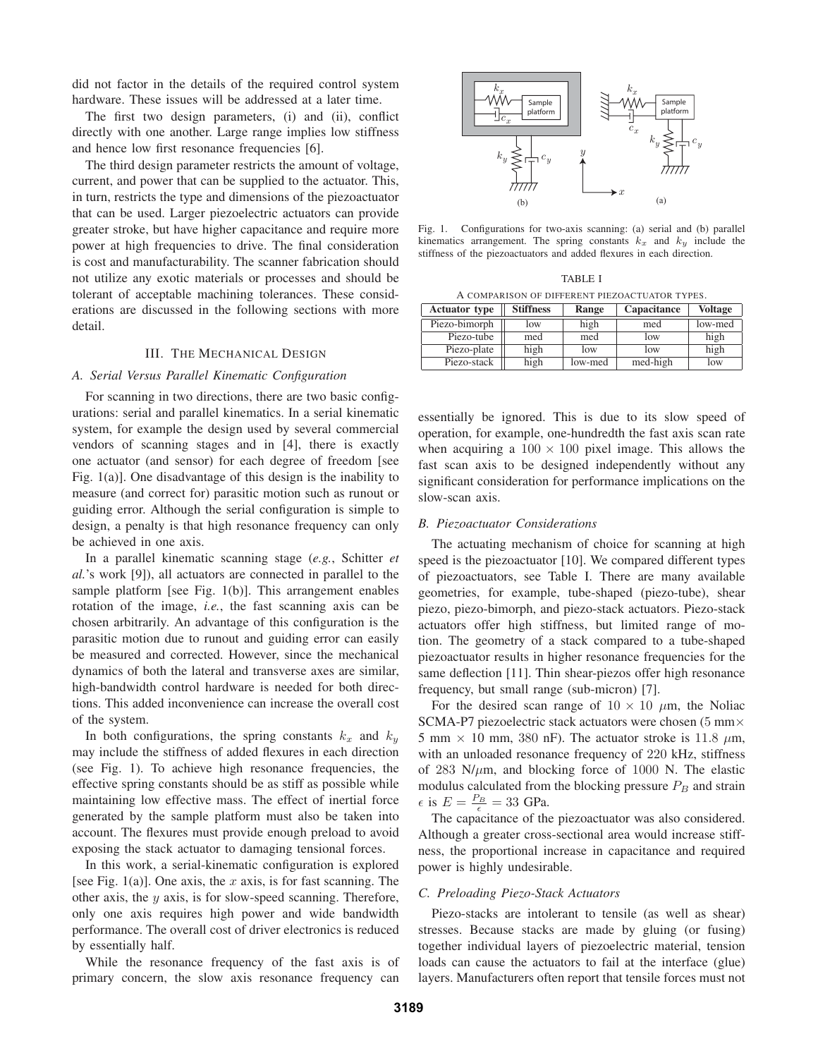did not factor in the details of the required control system hardware. These issues will be addressed at a later time.

The first two design parameters, (i) and (ii), conflict directly with one another. Large range implies low stiffness and hence low first resonance frequencies [6].

The third design parameter restricts the amount of voltage, current, and power that can be supplied to the actuator. This, in turn, restricts the type and dimensions of the piezoactuator that can be used. Larger piezoelectric actuators can provide greater stroke, but have higher capacitance and require more power at high frequencies to drive. The final consideration is cost and manufacturability. The scanner fabrication should not utilize any exotic materials or processes and should be tolerant of acceptable machining tolerances. These considerations are discussed in the following sections with more detail.

# III. THE MECHANICAL DESIGN

# *A. Serial Versus Parallel Kinematic Configuration*

For scanning in two directions, there are two basic configurations: serial and parallel kinematics. In a serial kinematic system, for example the design used by several commercial vendors of scanning stages and in [4], there is exactly one actuator (and sensor) for each degree of freedom [see Fig. 1(a)]. One disadvantage of this design is the inability to measure (and correct for) parasitic motion such as runout or guiding error. Although the serial configuration is simple to design, a penalty is that high resonance frequency can only be achieved in one axis.

In a parallel kinematic scanning stage (*e.g.*, Schitter *et al.*'s work [9]), all actuators are connected in parallel to the sample platform [see Fig. 1(b)]. This arrangement enables rotation of the image, *i.e.*, the fast scanning axis can be chosen arbitrarily. An advantage of this configuration is the parasitic motion due to runout and guiding error can easily be measured and corrected. However, since the mechanical dynamics of both the lateral and transverse axes are similar, high-bandwidth control hardware is needed for both directions. This added inconvenience can increase the overall cost of the system.

In both configurations, the spring constants  $k_x$  and  $k_y$ may include the stiffness of added flexures in each direction (see Fig. 1). To achieve high resonance frequencies, the effective spring constants should be as stiff as possible while maintaining low effective mass. The effect of inertial force generated by the sample platform must also be taken into account. The flexures must provide enough preload to avoid exposing the stack actuator to damaging tensional forces.

In this work, a serial-kinematic configuration is explored [see Fig. 1(a)]. One axis, the x axis, is for fast scanning. The other axis, the  $y$  axis, is for slow-speed scanning. Therefore, only one axis requires high power and wide bandwidth performance. The overall cost of driver electronics is reduced by essentially half.

While the resonance frequency of the fast axis is of primary concern, the slow axis resonance frequency can



Fig. 1. Configurations for two-axis scanning: (a) serial and (b) parallel kinematics arrangement. The spring constants  $k_x$  and  $k_y$  include the stiffness of the piezoactuators and added flexures in each direction.

TABLE I A COMPARISON OF DIFFERENT PIEZOACTUATOR TYPES.

| <b>Actuator type</b> | <b>Stiffness</b> | Range   | Capacitance | Voltage |
|----------------------|------------------|---------|-------------|---------|
| Piezo-bimorph        | low              | high    | med         | low-med |
| Piezo-tube           | med              | med     | low         | high    |
| Piezo-plate          | high             | low     | low         | high    |
| Piezo-stack          | high             | low-med | med-high    | low     |

essentially be ignored. This is due to its slow speed of operation, for example, one-hundredth the fast axis scan rate when acquiring a  $100 \times 100$  pixel image. This allows the fast scan axis to be designed independently without any significant consideration for performance implications on the slow-scan axis.

#### *B. Piezoactuator Considerations*

The actuating mechanism of choice for scanning at high speed is the piezoactuator [10]. We compared different types of piezoactuators, see Table I. There are many available geometries, for example, tube-shaped (piezo-tube), shear piezo, piezo-bimorph, and piezo-stack actuators. Piezo-stack actuators offer high stiffness, but limited range of motion. The geometry of a stack compared to a tube-shaped piezoactuator results in higher resonance frequencies for the same deflection [11]. Thin shear-piezos offer high resonance frequency, but small range (sub-micron) [7].

For the desired scan range of  $10 \times 10 \mu$ m, the Noliac SCMA-P7 piezoelectric stack actuators were chosen (5 mm× 5 mm  $\times$  10 mm, 380 nF). The actuator stroke is 11.8  $\mu$ m, with an unloaded resonance frequency of 220 kHz, stiffness of 283 N/ $\mu$ m, and blocking force of 1000 N. The elastic modulus calculated from the blocking pressure  $P_B$  and strain  $\epsilon$  is  $E = \frac{P_B}{\epsilon} = 33$  GPa.

The capacitance of the piezoactuator was also considered. Although a greater cross-sectional area would increase stiffness, the proportional increase in capacitance and required power is highly undesirable.

#### *C. Preloading Piezo-Stack Actuators*

Piezo-stacks are intolerant to tensile (as well as shear) stresses. Because stacks are made by gluing (or fusing) together individual layers of piezoelectric material, tension loads can cause the actuators to fail at the interface (glue) layers. Manufacturers often report that tensile forces must not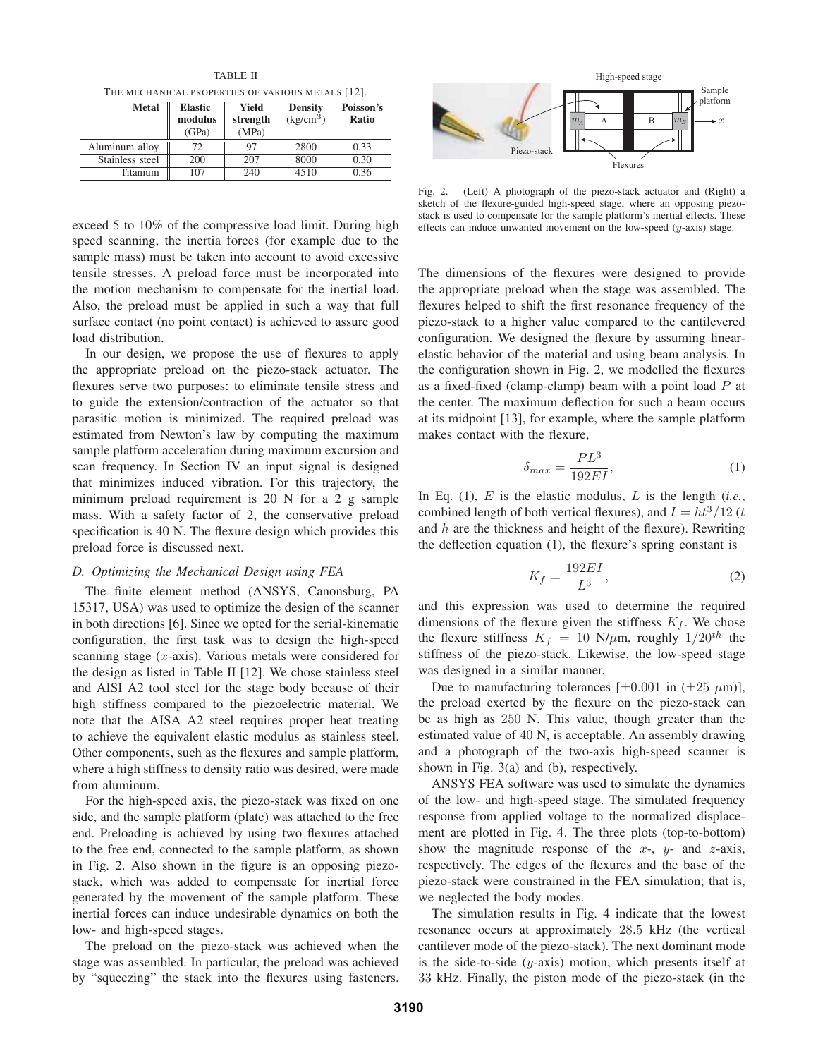TABLE II THE MECHANICAL PROPERTIES OF VARIOUS METALS [12].

| <b>Metal</b>    | <b>Elastic</b><br>modulus<br>(GPa) | Yield<br>strength<br>(MPa) | <b>Density</b><br>$(kg/cm^3)$ | Poisson's<br>Ratio |
|-----------------|------------------------------------|----------------------------|-------------------------------|--------------------|
| Aluminum alloy  |                                    |                            | 2800                          | 0.33               |
| Stainless steel | 200                                | 207                        | 8000                          | 0.30               |
| <b>Titanium</b> | 107                                | 240                        | 4510                          |                    |

exceed 5 to 10% of the compressive load limit. During high speed scanning, the inertia forces (for example due to the sample mass) must be taken into account to avoid excessive tensile stresses. A preload force must be incorporated into the motion mechanism to compensate for the inertial load. Also, the preload must be applied in such a way that full surface contact (no point contact) is achieved to assure good load distribution.

In our design, we propose the use of flexures to apply the appropriate preload on the piezo-stack actuator. The flexures serve two purposes: to eliminate tensile stress and to guide the extension/contraction of the actuator so that parasitic motion is minimized. The required preload was estimated from Newton's law by computing the maximum sample platform acceleration during maximum excursion and scan frequency. In Section IV an input signal is designed that minimizes induced vibration. For this trajectory, the minimum preload requirement is 20 N for a 2 g sample mass. With a safety factor of 2, the conservative preload specification is 40 N. The flexure design which provides this preload force is discussed next.

## *D. Optimizing the Mechanical Design using FEA*

The finite element method (ANSYS, Canonsburg, PA 15317, USA) was used to optimize the design of the scanner in both directions [6]. Since we opted for the serial-kinematic configuration, the first task was to design the high-speed scanning stage  $(x$ -axis). Various metals were considered for the design as listed in Table II [12]. We chose stainless steel and AISI A2 tool steel for the stage body because of their high stiffness compared to the piezoelectric material. We note that the AISA A2 steel requires proper heat treating to achieve the equivalent elastic modulus as stainless steel. Other components, such as the flexures and sample platform, where a high stiffness to density ratio was desired, were made from aluminum.

For the high-speed axis, the piezo-stack was fixed on one side, and the sample platform (plate) was attached to the free end. Preloading is achieved by using two flexures attached to the free end, connected to the sample platform, as shown in Fig. 2. Also shown in the figure is an opposing piezostack, which was added to compensate for inertial force generated by the movement of the sample platform. These inertial forces can induce undesirable dynamics on both the low- and high-speed stages.

The preload on the piezo-stack was achieved when the stage was assembled. In particular, the preload was achieved by "squeezing" the stack into the flexures using fasteners.



Fig. 2. (Left) A photograph of the piezo-stack actuator and (Right) a sketch of the flexure-guided high-speed stage, where an opposing piezostack is used to compensate for the sample platform's inertial effects. These effects can induce unwanted movement on the low-speed (y-axis) stage.

The dimensions of the flexures were designed to provide the appropriate preload when the stage was assembled. The flexures helped to shift the first resonance frequency of the piezo-stack to a higher value compared to the cantilevered configuration. We designed the flexure by assuming linearelastic behavior of the material and using beam analysis. In the configuration shown in Fig. 2, we modelled the flexures as a fixed-fixed (clamp-clamp) beam with a point load  $P$  at the center. The maximum deflection for such a beam occurs at its midpoint [13], for example, where the sample platform makes contact with the flexure,

$$
\delta_{max} = \frac{PL^3}{192EI},\tag{1}
$$

In Eq. (1), E is the elastic modulus, L is the length (*i.e.*, combined length of both vertical flexures), and  $I = ht^3/12$  (t and  $h$  are the thickness and height of the flexure). Rewriting the deflection equation (1), the flexure's spring constant is

$$
K_f = \frac{192EI}{L^3},\tag{2}
$$

and this expression was used to determine the required dimensions of the flexure given the stiffness  $K_f$ . We chose the flexure stiffness  $K_f = 10 \text{ N}/\mu \text{m}$ , roughly  $1/20^{th}$  the stiffness of the piezo-stack. Likewise, the low-speed stage was designed in a similar manner.

Due to manufacturing tolerances  $[\pm 0.001$  in  $(\pm 25 \mu m)]$ , the preload exerted by the flexure on the piezo-stack can be as high as 250 N. This value, though greater than the estimated value of 40 N, is acceptable. An assembly drawing and a photograph of the two-axis high-speed scanner is shown in Fig. 3(a) and (b), respectively.

ANSYS FEA software was used to simulate the dynamics of the low- and high-speed stage. The simulated frequency response from applied voltage to the normalized displacement are plotted in Fig. 4. The three plots (top-to-bottom) show the magnitude response of the  $x$ -,  $y$ - and  $z$ -axis, respectively. The edges of the flexures and the base of the piezo-stack were constrained in the FEA simulation; that is, we neglected the body modes.

The simulation results in Fig. 4 indicate that the lowest resonance occurs at approximately 28.5 kHz (the vertical cantilever mode of the piezo-stack). The next dominant mode is the side-to-side  $(y$ -axis) motion, which presents itself at 33 kHz. Finally, the piston mode of the piezo-stack (in the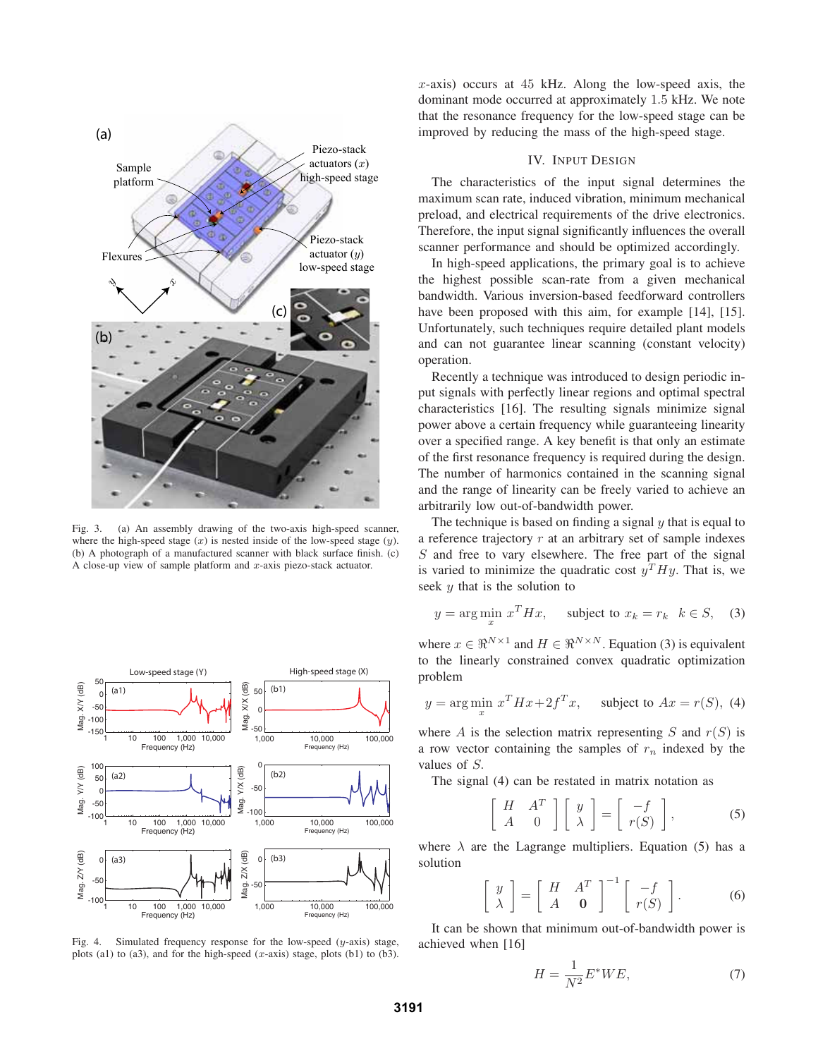

Fig. 3. (a) An assembly drawing of the two-axis high-speed scanner, where the high-speed stage  $(x)$  is nested inside of the low-speed stage  $(y)$ . (b) A photograph of a manufactured scanner with black surface finish. (c) A close-up view of sample platform and  $x$ -axis piezo-stack actuator.



Fig. 4. Simulated frequency response for the low-speed  $(y$ -axis) stage, plots (a1) to (a3), and for the high-speed  $(x$ -axis) stage, plots (b1) to (b3).

 $x$ -axis) occurs at 45 kHz. Along the low-speed axis, the dominant mode occurred at approximately 1.5 kHz. We note that the resonance frequency for the low-speed stage can be improved by reducing the mass of the high-speed stage.

# IV. INPUT DESIGN

The characteristics of the input signal determines the maximum scan rate, induced vibration, minimum mechanical preload, and electrical requirements of the drive electronics. Therefore, the input signal significantly influences the overall scanner performance and should be optimized accordingly.

In high-speed applications, the primary goal is to achieve the highest possible scan-rate from a given mechanical bandwidth. Various inversion-based feedforward controllers have been proposed with this aim, for example [14], [15]. Unfortunately, such techniques require detailed plant models and can not guarantee linear scanning (constant velocity) operation.

Recently a technique was introduced to design periodic input signals with perfectly linear regions and optimal spectral characteristics [16]. The resulting signals minimize signal power above a certain frequency while guaranteeing linearity over a specified range. A key benefit is that only an estimate of the first resonance frequency is required during the design. The number of harmonics contained in the scanning signal and the range of linearity can be freely varied to achieve an arbitrarily low out-of-bandwidth power.

The technique is based on finding a signal  $y$  that is equal to a reference trajectory  $r$  at an arbitrary set of sample indexes  $S$  and free to vary elsewhere. The free part of the signal is varied to minimize the quadratic cost  $y<sup>T</sup>Hy$ . That is, we seek  $y$  that is the solution to

$$
y = \arg\min_{x} x^{T} H x, \quad \text{subject to } x_{k} = r_{k} \quad k \in S, \quad (3)
$$

where  $x \in \mathbb{R}^{N \times 1}$  and  $H \in \mathbb{R}^{N \times N}$ . Equation (3) is equivalent to the linearly constrained convex quadratic optimization problem

$$
y = \arg\min_{x} x^{T} H x + 2f^{T} x, \quad \text{subject to } Ax = r(S), \text{ (4)}
$$

where A is the selection matrix representing S and  $r(S)$  is a row vector containing the samples of  $r_n$  indexed by the values of S.

The signal (4) can be restated in matrix notation as

$$
\left[\begin{array}{cc} H & A^T \\ A & 0 \end{array}\right] \left[\begin{array}{c} y \\ \lambda \end{array}\right] = \left[\begin{array}{c} -f \\ r(S) \end{array}\right],
$$
 (5)

where  $\lambda$  are the Lagrange multipliers. Equation (5) has a solution

$$
\left[\begin{array}{c} y \\ \lambda \end{array}\right] = \left[\begin{array}{cc} H & A^T \\ A & \mathbf{0} \end{array}\right]^{-1} \left[\begin{array}{c} -f \\ r(S) \end{array}\right].
$$
 (6)

It can be shown that minimum out-of-bandwidth power is achieved when [16]

$$
H = \frac{1}{N^2} E^* W E,\tag{7}
$$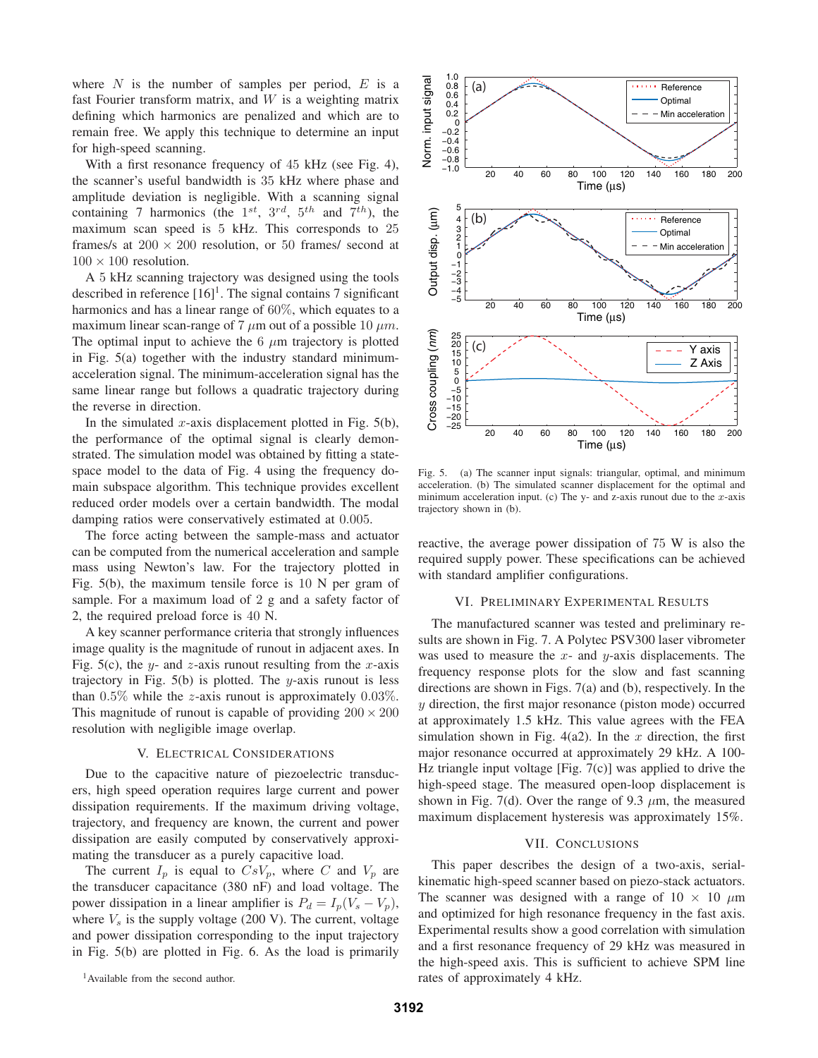where  $N$  is the number of samples per period,  $E$  is a fast Fourier transform matrix, and  $W$  is a weighting matrix defining which harmonics are penalized and which are to remain free. We apply this technique to determine an input for high-speed scanning.

With a first resonance frequency of 45 kHz (see Fig. 4), the scanner's useful bandwidth is 35 kHz where phase and amplitude deviation is negligible. With a scanning signal containing 7 harmonics (the  $1^{st}$ ,  $3^{rd}$ ,  $5^{th}$  and  $7^{th}$ ), the maximum scan speed is 5 kHz. This corresponds to 25 frames/s at  $200 \times 200$  resolution, or 50 frames/ second at  $100 \times 100$  resolution.

A 5 kHz scanning trajectory was designed using the tools described in reference  $[16]$ <sup>1</sup>. The signal contains 7 significant harmonics and has a linear range of 60%, which equates to a maximum linear scan-range of 7  $\mu$ m out of a possible 10  $\mu$ m. The optimal input to achieve the  $6 \mu m$  trajectory is plotted in Fig. 5(a) together with the industry standard minimumacceleration signal. The minimum-acceleration signal has the same linear range but follows a quadratic trajectory during the reverse in direction.

In the simulated x-axis displacement plotted in Fig.  $5(b)$ , the performance of the optimal signal is clearly demonstrated. The simulation model was obtained by fitting a statespace model to the data of Fig. 4 using the frequency domain subspace algorithm. This technique provides excellent reduced order models over a certain bandwidth. The modal damping ratios were conservatively estimated at 0.005.

The force acting between the sample-mass and actuator can be computed from the numerical acceleration and sample mass using Newton's law. For the trajectory plotted in Fig. 5(b), the maximum tensile force is 10 N per gram of sample. For a maximum load of 2 g and a safety factor of 2, the required preload force is 40 N.

A key scanner performance criteria that strongly influences image quality is the magnitude of runout in adjacent axes. In Fig. 5(c), the y- and z-axis runout resulting from the x-axis trajectory in Fig.  $5(b)$  is plotted. The y-axis runout is less than  $0.5\%$  while the *z*-axis runout is approximately  $0.03\%$ . This magnitude of runout is capable of providing  $200 \times 200$ resolution with negligible image overlap.

#### V. ELECTRICAL CONSIDERATIONS

Due to the capacitive nature of piezoelectric transducers, high speed operation requires large current and power dissipation requirements. If the maximum driving voltage, trajectory, and frequency are known, the current and power dissipation are easily computed by conservatively approximating the transducer as a purely capacitive load.

The current  $I_p$  is equal to  $CsV_p$ , where C and  $V_p$  are the transducer capacitance (380 nF) and load voltage. The power dissipation in a linear amplifier is  $P_d = I_p(V_s - V_p)$ , where  $V_s$  is the supply voltage (200 V). The current, voltage and power dissipation corresponding to the input trajectory in Fig. 5(b) are plotted in Fig. 6. As the load is primarily



Fig. 5. (a) The scanner input signals: triangular, optimal, and minimum acceleration. (b) The simulated scanner displacement for the optimal and minimum acceleration input. (c) The y- and z-axis runout due to the  $x$ -axis trajectory shown in (b).

reactive, the average power dissipation of 75 W is also the required supply power. These specifications can be achieved with standard amplifier configurations.

# VI. PRELIMINARY EXPERIMENTAL RESULTS

The manufactured scanner was tested and preliminary results are shown in Fig. 7. A Polytec PSV300 laser vibrometer was used to measure the  $x$ - and  $y$ -axis displacements. The frequency response plots for the slow and fast scanning directions are shown in Figs. 7(a) and (b), respectively. In the y direction, the first major resonance (piston mode) occurred at approximately 1.5 kHz. This value agrees with the FEA simulation shown in Fig. 4(a2). In the x direction, the first major resonance occurred at approximately 29 kHz. A 100- Hz triangle input voltage [Fig.  $7(c)$ ] was applied to drive the high-speed stage. The measured open-loop displacement is shown in Fig. 7(d). Over the range of 9.3  $\mu$ m, the measured maximum displacement hysteresis was approximately 15%.

#### VII. CONCLUSIONS

This paper describes the design of a two-axis, serialkinematic high-speed scanner based on piezo-stack actuators. The scanner was designed with a range of  $10 \times 10 \mu m$ and optimized for high resonance frequency in the fast axis. Experimental results show a good correlation with simulation and a first resonance frequency of 29 kHz was measured in the high-speed axis. This is sufficient to achieve SPM line rates of approximately 4 kHz.

<sup>&</sup>lt;sup>1</sup> Available from the second author.